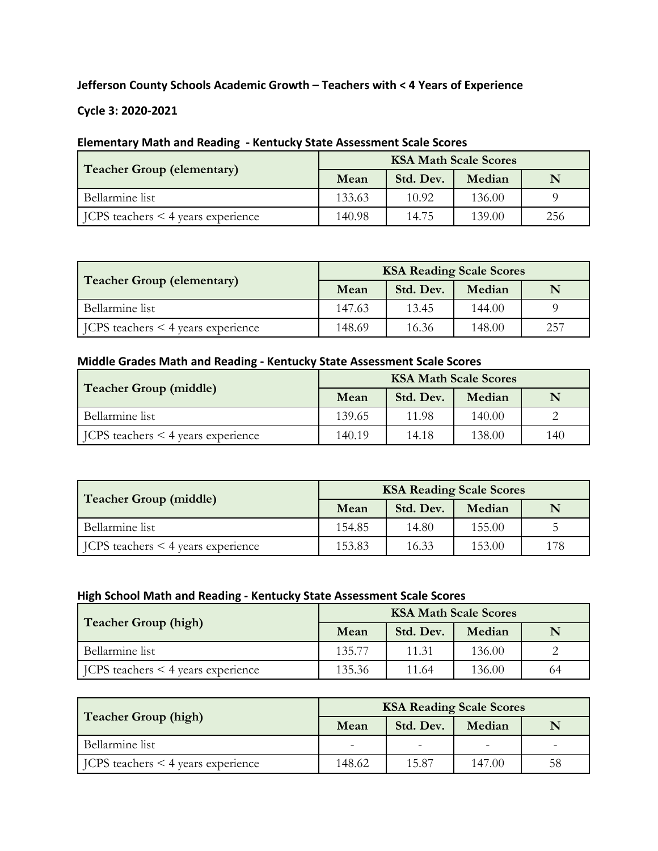#### **Jefferson County Schools Academic Growth – Teachers with < 4 Years of Experience**

**Cycle 3: 2020-2021**

# **Elementary Math and Reading - Kentucky State Assessment Scale Scores**

| <b>Teacher Group (elementary)</b>               | <b>KSA Math Scale Scores</b> |           |        |     |  |  |
|-------------------------------------------------|------------------------------|-----------|--------|-----|--|--|
|                                                 | Mean                         | Std. Dev. | Median | N   |  |  |
| Bellarmine list                                 | 133.63                       | 10.92     | 136.00 |     |  |  |
| $\vert$ JCPS teachers $\leq$ 4 years experience | 140.98                       | 14.75     | 139.00 | 256 |  |  |

| <b>Teacher Group (elementary)</b>               | <b>KSA Reading Scale Scores</b> |           |        |     |  |  |
|-------------------------------------------------|---------------------------------|-----------|--------|-----|--|--|
|                                                 | Mean                            | Std. Dev. | Median | N   |  |  |
| Bellarmine list                                 | 147.63                          | 13.45     | 144.00 |     |  |  |
| $\vert$ JCPS teachers $\leq$ 4 years experience | 148.69                          | 16.36     | 148.00 | 257 |  |  |

#### **Middle Grades Math and Reading - Kentucky State Assessment Scale Scores**

| <b>Teacher Group (middle)</b>                   | <b>KSA Math Scale Scores</b> |           |        |     |  |  |
|-------------------------------------------------|------------------------------|-----------|--------|-----|--|--|
|                                                 | Mean                         | Std. Dev. | Median | N   |  |  |
| Bellarmine list                                 | 139.65                       | 11.98     | 140.00 |     |  |  |
| $\vert$ JCPS teachers $\leq$ 4 years experience | 140.19                       | 14.18     | 138.00 | 140 |  |  |

| <b>Teacher Group (middle)</b>                   | <b>KSA Reading Scale Scores</b> |           |        |     |  |  |
|-------------------------------------------------|---------------------------------|-----------|--------|-----|--|--|
|                                                 | Mean                            | Std. Dev. | Median | N   |  |  |
| Bellarmine list                                 | 154.85                          | 14.80     | 155.00 |     |  |  |
| $\vert$ JCPS teachers $\leq$ 4 years experience | 153.83                          | 16.33     | 153.00 | 178 |  |  |

### **High School Math and Reading - Kentucky State Assessment Scale Scores**

| Teacher Group (high)                            | <b>KSA Math Scale Scores</b> |           |        |    |  |  |
|-------------------------------------------------|------------------------------|-----------|--------|----|--|--|
|                                                 | Mean                         | Std. Dev. | Median |    |  |  |
| Bellarmine list                                 | 135.77                       | 11.31     | 136.00 |    |  |  |
| $\vert$ JCPS teachers $\leq$ 4 years experience | 135.36                       | 11.64     | 136.00 | 64 |  |  |

| Teacher Group (high)                            | <b>KSA Reading Scale Scores</b> |           |        |    |  |  |
|-------------------------------------------------|---------------------------------|-----------|--------|----|--|--|
|                                                 | Mean                            | Std. Dev. | Median |    |  |  |
| Bellarmine list                                 |                                 |           |        |    |  |  |
| $\vert$ JCPS teachers $\leq$ 4 years experience | 148.62                          | 15.87     | 147.00 | 58 |  |  |